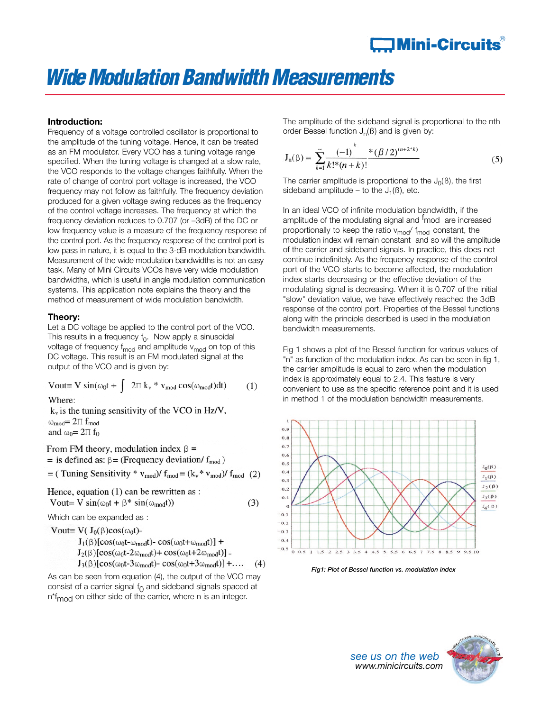# **JMini-Circuits** $^\circ$

# *WideModulation Bandwidth Measurements*

 $(1)$ 

## **Introduction:**

Frequency of a voltage controlled oscillator is proportional to the amplitude of the tuning voltage. Hence, it can be treated as an FM modulator. Every VCO has a tuning voltage range specified. When the tuning voltage is changed at a slow rate, the VCO responds to the voltage changes faithfully. When the rate of change of control port voltage is increased, the VCO frequency may not follow as faithfully. The frequency deviation produced for a given voltage swing reduces as the frequency of the control voltage increases. The frequency at which the frequency deviation reduces to 0.707 (or –3dB) of the DC or low frequency value is a measure of the frequency response of the control port. As the frequency response of the control port is low pass in nature, it is equal to the 3-dB modulation bandwidth. Measurement of the wide modulation bandwidths is not an easy task. Many of Mini Circuits VCOs have very wide modulation bandwidths, which is useful in angle modulation communication systems. This application note explains the theory and the method of measurement of wide modulation bandwidth.

### **Theory:**

Let a DC voltage be applied to the control port of the VCO. This results in a frequency  $f_0$ . Now apply a sinusoidal voltage of frequency  $f_{mod}$  and amplitude  $v_{mod}$  on top of this DC voltage. This result is an FM modulated signal at the output of the VCO and is given by:

Vout= V sin( $\omega_0 t$  +  $\int 2\pi k_v * v_{mod} \cos(\omega_{mod} t) dt$ )

Where:

 $k_y$  is the tuning sensitivity of the VCO in Hz/V,  $\omega_{mod} = 2\pi f_{mod}$ and  $\omega_0 = 2\pi f_0$ 

From FM theory, modulation index  $\beta$  = = is defined as:  $\beta$  = (Frequency deviation/ f<sub>mod</sub>) = (Tuning Sensitivity \*  $v_{mod}$ )/  $f_{mod} = (k_v * v_{mod})/ f_{mod}$  (2) Hence, equation (1) can be rewritten as : Vout= V sin( $\omega_0 t + \beta^*$  sin( $\omega_{mod} t$ ))  $(3)$ Which can be expanded as : Vout=  $V(J_0(\beta)cos(\omega_0 t)$ -

 $J_1(\beta)$ [cos(ω<sub>0</sub>t-ω<sub>mod</sub>t)- cos(ω<sub>0</sub>t+ω<sub>mod</sub>t)] +  $J_2(\beta)$ [cos(ω<sub>0</sub>t-2ω<sub>mod</sub>t)+ cos(ω<sub>0</sub>t+2ω<sub>mod</sub>t)] - $J_3(\beta)$ [cos( $\omega_0t$ -3 $\omega_{mod}t$ )-cos( $\omega_0t$ +3 $\omega_{mod}t$ )]+...  $(4)$ 

As can be seen from equation (4), the output of the VCO may consist of a carrier signal  $f<sub>0</sub>$  and sideband signals spaced at n<sup>\*f</sup><sub>mod</sub> on either side of the carrier, where n is an integer.

The amplitude of the sideband signal is proportional to the nth order Bessel function  $J_n(\beta)$  and is given by:

$$
J_n(\beta) = \sum_{k=1}^{\infty} \frac{(-1)^k}{k!^*(n+k)!} \frac{\ast (\beta/2)^{(n+2^*k)}}{(n+k)!}
$$
 (5)

The carrier amplitude is proportional to the  $J_0(\beta)$ , the first sideband amplitude – to the  $J_1(\beta)$ , etc.

In an ideal VCO of infinite modulation bandwidth, if the amplitude of the modulating signal and <sup>f</sup>mod are increased proportionally to keep the ratio  $v_{mod}$   $f_{mod}$  constant, the modulation index will remain constant and so will the amplitude of the carrier and sideband signals. In practice, this does not continue indefinitely. As the frequency response of the control port of the VCO starts to become affected, the modulation index starts decreasing or the effective deviation of the modulating signal is decreasing. When it is 0.707 of the initial "slow" deviation value, we have effectively reached the 3dB response of the control port. Properties of the Bessel functions along with the principle described is used in the modulation bandwidth measurements.

Fig 1 shows a plot of the Bessel function for various values of "n" as function of the modulation index. As can be seen in fig 1, the carrier amplitude is equal to zero when the modulation index is approximately equal to 2.4. This feature is very convenient to use as the specific reference point and it is used in method 1 of the modulation bandwidth measurements.



*Fig1: Plot of Bessel function vs. modulation index*

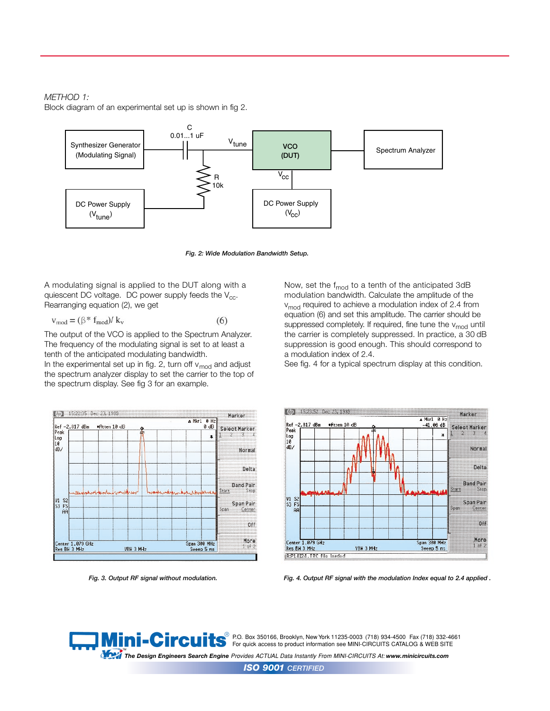#### *METHOD 1:*

Block diagram of an experimental set up is shown in fig 2.



*Fig. 2: Wide Modulation Bandwidth Setup.*

A modulating signal is applied to the DUT along with a quiescent DC voltage. DC power supply feeds the  $V_{cc}$ . Rearranging equation (2), we get

$$
v_{\text{mod}} = (\beta^* f_{\text{mod}}) / k_v \tag{6}
$$

The output of the VCO is applied to the Spectrum Analyzer. The frequency of the modulating signal is set to at least a tenth of the anticipated modulating bandwidth.

In the experimental set up in fig. 2, turn off  $v_{mod}$  and adjust the spectrum analyzer display to set the carrier to the top of the spectrum display. See fig 3 for an example.



Now, set the  $f_{mod}$  to a tenth of the anticipated 3dB modulation bandwidth. Calculate the amplitude of the v<sub>mod</sub> required to achieve a modulation index of 2.4 from equation (6) and set this amplitude. The carrier should be suppressed completely. If required, fine tune the  $v_{mod}$  until the carrier is completely suppressed. In practice, a 30 dB suppression is good enough. This should correspond to a modulation index of 2.4.

See fig. 4 for a typical spectrum display at this condition.



*Fig. 3. Output RF signal without modulation. Fig. 4. Output RF signal with the modulation Index equal to 2.4 applied .*



™<br>The Design Engineers Search Engine Provides ACTUAL Data Instantly From MINI-CIRCUITS At: www.minicircuits.com  $^{\circledR}$  P.O. Box 350166, Brooklyn, New York 11235-0003 (718) 934-4500 Fax (718) 332-4661 For quick access to product information see MINI-CIRCUITS CATALOG & WEB SITE

*ISO 9001 CERTIFIED*